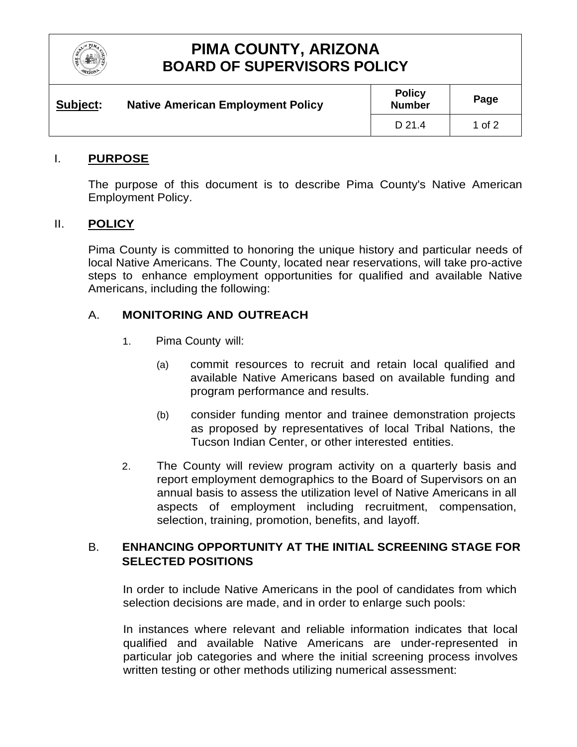

## **PIMA COUNTY, ARIZONA BOARD OF SUPERVISORS POLICY**

| Subject: | <b>Native American Employment Policy</b> | <b>Policy</b><br><b>Number</b> | Page   |
|----------|------------------------------------------|--------------------------------|--------|
|          |                                          | D 21.4                         | 1 of 2 |

### I. **PURPOSE**

The purpose of this document is to describe Pima County's Native American Employment Policy.

#### II. **POLICY**

Pima County is committed to honoring the unique history and particular needs of local Native Americans. The County, located near reservations, will take pro-active steps to enhance employment opportunities for qualified and available Native Americans, including the following:

#### A. **MONITORING AND OUTREACH**

- 1. Pima County will:
	- (a) commit resources to recruit and retain local qualified and available Native Americans based on available funding and program performance and results.
	- (b) consider funding mentor and trainee demonstration projects as proposed by representatives of local Tribal Nations, the Tucson Indian Center, or other interested entities.
- 2. The County will review program activity on a quarterly basis and report employment demographics to the Board of Supervisors on an annual basis to assess the utilization level of Native Americans in all aspects of employment including recruitment, compensation, selection, training, promotion, benefits, and layoff.

## B. **ENHANCING OPPORTUNITY AT THE INITIAL SCREENING STAGE FOR SELECTED POSITIONS**

In order to include Native Americans in the pool of candidates from which selection decisions are made, and in order to enlarge such pools:

In instances where relevant and reliable information indicates that local qualified and available Native Americans are under-represented in particular job categories and where the initial screening process involves written testing or other methods utilizing numerical assessment: